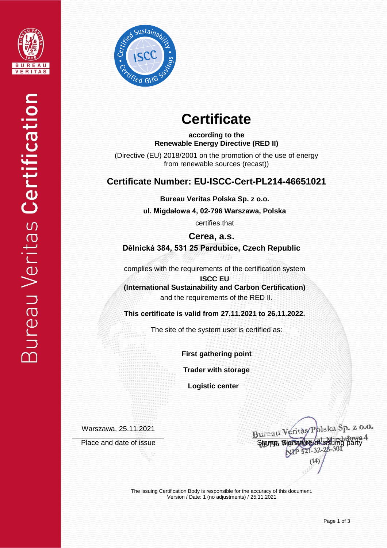



# **Certificate**

**according to the Renewable Energy Directive (RED II)**

(Directive (EU) 2018/2001 on the promotion of the use of energy from renewable sources (recast))

### **Certificate Number: EU-ISCC-Cert-PL214-46651021**

**Bureau Veritas Polska Sp. z o.o.**

**ul. Migdałowa 4, 02-796 Warszawa, Polska** 

certifies that

**Cerea, a.s. Dělnická 384, 531 25 Pardubice, Czech Republic**

complies with the requirements of the certification system

**ISCC EU (International Sustainability and Carbon Certification)** and the requirements of the RED II.

**This certificate is valid from 27.11.2021 to 26.11.2022.**

The site of the system user is certified as:

**First gathering point**

**Trader with storage**

 **Logistic center**

Warszawa, 25.11.2021

Bureau Veritas/Polska Sp. z o.o. Place and date of issue Stamp, Signature of issuing party<br>Stamp, Signature of issue Stamp, Signature of issuing party

The issuing Certification Body is responsible for the accuracy of this document. Version / Date: 1 (no adjustments) / 25.11.2021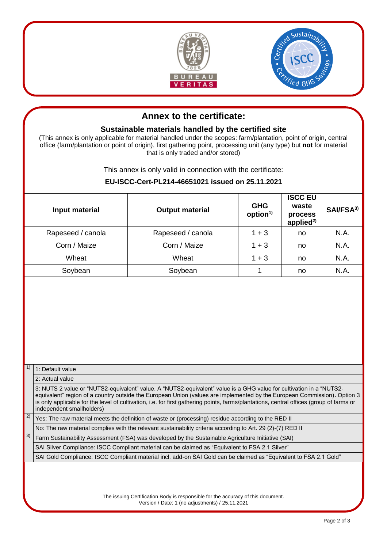



## **Annex to the certificate:**

#### **Sustainable materials handled by the certified site**

(This annex is only applicable for material handled under the scopes: farm/plantation, point of origin, central office (farm/plantation or point of origin), first gathering point, processing unit (any type) but **not** for material that is only traded and/or stored)

This annex is only valid in connection with the certificate:

#### **EU-ISCC-Cert-PL214-46651021 issued on 25.11.2021**

|                                                                                                                                                                                                                                                          | Input material                                                                                                                                                                                                                                                                                                                                                                                                          | <b>Output material</b> | <b>GHG</b><br>option <sup>1)</sup>                                                                          | <b>ISCC EU</b><br>waste<br>process<br>applied $^{2)}$ | SAI/FSA <sup>3)</sup> |  |  |  |
|----------------------------------------------------------------------------------------------------------------------------------------------------------------------------------------------------------------------------------------------------------|-------------------------------------------------------------------------------------------------------------------------------------------------------------------------------------------------------------------------------------------------------------------------------------------------------------------------------------------------------------------------------------------------------------------------|------------------------|-------------------------------------------------------------------------------------------------------------|-------------------------------------------------------|-----------------------|--|--|--|
| Rapeseed / canola<br>Corn / Maize<br>Wheat                                                                                                                                                                                                               |                                                                                                                                                                                                                                                                                                                                                                                                                         | Rapeseed / canola      | $1 + 3$                                                                                                     | no                                                    | N.A.                  |  |  |  |
|                                                                                                                                                                                                                                                          |                                                                                                                                                                                                                                                                                                                                                                                                                         | Corn / Maize           | $1 + 3$                                                                                                     | no                                                    | N.A.                  |  |  |  |
|                                                                                                                                                                                                                                                          |                                                                                                                                                                                                                                                                                                                                                                                                                         | Wheat                  | $1 + 3$                                                                                                     | no                                                    | N.A.                  |  |  |  |
| Soybean                                                                                                                                                                                                                                                  |                                                                                                                                                                                                                                                                                                                                                                                                                         | Soybean                | 1                                                                                                           | no                                                    | N.A.                  |  |  |  |
|                                                                                                                                                                                                                                                          |                                                                                                                                                                                                                                                                                                                                                                                                                         |                        |                                                                                                             |                                                       |                       |  |  |  |
| 1)                                                                                                                                                                                                                                                       | 1: Default value                                                                                                                                                                                                                                                                                                                                                                                                        |                        |                                                                                                             |                                                       |                       |  |  |  |
|                                                                                                                                                                                                                                                          | 2: Actual value                                                                                                                                                                                                                                                                                                                                                                                                         |                        |                                                                                                             |                                                       |                       |  |  |  |
|                                                                                                                                                                                                                                                          | 3: NUTS 2 value or "NUTS2-equivalent" value. A "NUTS2-equivalent" value is a GHG value for cultivation in a "NUTS2-<br>equivalent" region of a country outside the European Union (values are implemented by the European Commission). Option 3<br>is only applicable for the level of cultivation, i.e. for first gathering points, farms/plantations, central offices (group of farms or<br>independent smallholders) |                        |                                                                                                             |                                                       |                       |  |  |  |
| 2)<br>Yes: The raw material meets the definition of waste or (processing) residue according to the RED II                                                                                                                                                |                                                                                                                                                                                                                                                                                                                                                                                                                         |                        |                                                                                                             |                                                       |                       |  |  |  |
|                                                                                                                                                                                                                                                          |                                                                                                                                                                                                                                                                                                                                                                                                                         |                        | No: The raw material complies with the relevant sustainability criteria according to Art. 29 (2)-(7) RED II |                                                       |                       |  |  |  |
| 3)                                                                                                                                                                                                                                                       | Farm Sustainability Assessment (FSA) was developed by the Sustainable Agriculture Initiative (SAI)                                                                                                                                                                                                                                                                                                                      |                        |                                                                                                             |                                                       |                       |  |  |  |
|                                                                                                                                                                                                                                                          | SAI Silver Compliance: ISCC Compliant material can be claimed as "Equivalent to FSA 2.1 Silver"                                                                                                                                                                                                                                                                                                                         |                        |                                                                                                             |                                                       |                       |  |  |  |
| SAI Gold Compliance: ISCC Compliant material incl. add-on SAI Gold can be claimed as "Equivalent to FSA 2.1 Gold"<br>The issuing Certification Body is responsible for the accuracy of this document.<br>Version / Date: 1 (no adjustments) / 25.11.2021 |                                                                                                                                                                                                                                                                                                                                                                                                                         |                        |                                                                                                             |                                                       |                       |  |  |  |